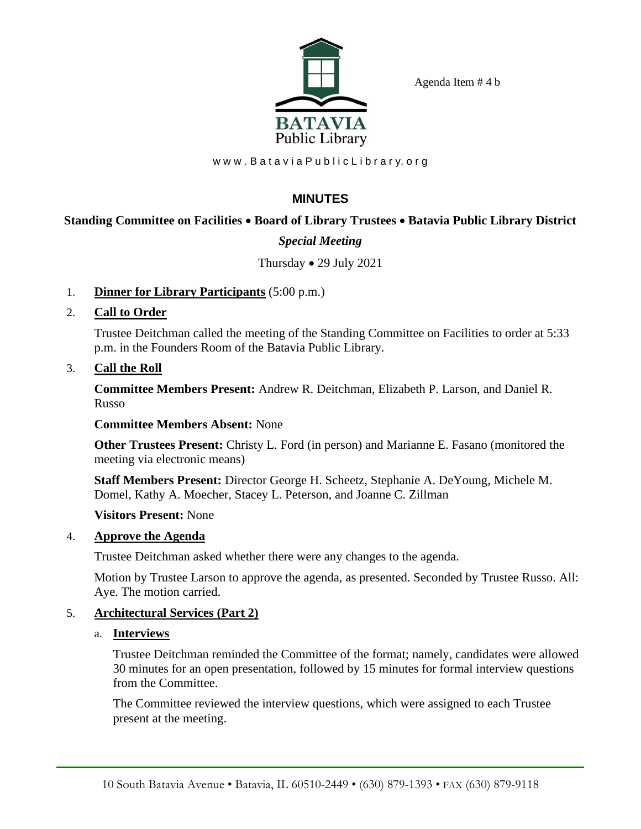Agenda Item # 4 b



www.Batavia Public Library.org

# **MINUTES**

# **Standing Committee on Facilities** • **Board of Library Trustees** • **Batavia Public Library District**

# *Special Meeting*

### Thursday • 29 July 2021

- 1. **Dinner for Library Participants** (5:00 p.m.)
- 2. **Call to Order**

Trustee Deitchman called the meeting of the Standing Committee on Facilities to order at 5:33 p.m. in the Founders Room of the Batavia Public Library.

3. **Call the Roll**

**Committee Members Present:** Andrew R. Deitchman, Elizabeth P. Larson, and Daniel R. Russo

### **Committee Members Absent:** None

**Other Trustees Present:** Christy L. Ford (in person) and Marianne E. Fasano (monitored the meeting via electronic means)

**Staff Members Present:** Director George H. Scheetz, Stephanie A. DeYoung, Michele M. Domel, Kathy A. Moecher, Stacey L. Peterson, and Joanne C. Zillman

### **Visitors Present:** None

### 4. **Approve the Agenda**

Trustee Deitchman asked whether there were any changes to the agenda.

Motion by Trustee Larson to approve the agenda, as presented. Seconded by Trustee Russo. All: Aye. The motion carried.

### 5. **Architectural Services (Part 2)**

### a. **Interviews**

Trustee Deitchman reminded the Committee of the format; namely, candidates were allowed 30 minutes for an open presentation, followed by 15 minutes for formal interview questions from the Committee.

The Committee reviewed the interview questions, which were assigned to each Trustee present at the meeting.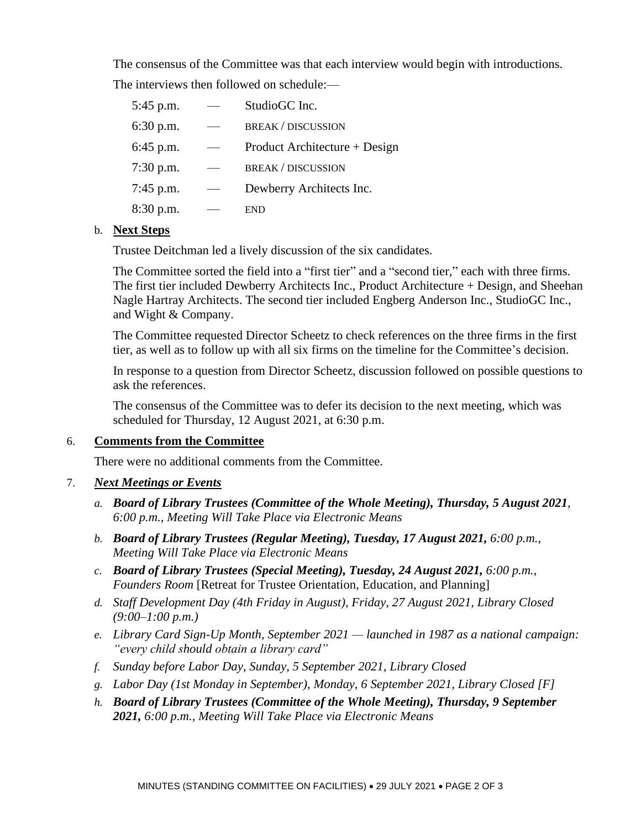The consensus of the Committee was that each interview would begin with introductions. The interviews then followed on schedule:—

| 5:45 p.m. | StudioGC Inc.                 |
|-----------|-------------------------------|
| 6:30 p.m. | <b>BREAK / DISCUSSION</b>     |
| 6:45 p.m. | Product Architecture + Design |
| 7:30 p.m. | <b>BREAK / DISCUSSION</b>     |
| 7:45 p.m. | Dewberry Architects Inc.      |
| 8:30 p.m. | END                           |

### b. **Next Steps**

Trustee Deitchman led a lively discussion of the six candidates.

The Committee sorted the field into a "first tier" and a "second tier," each with three firms. The first tier included Dewberry Architects Inc., Product Architecture + Design, and Sheehan Nagle Hartray Architects. The second tier included Engberg Anderson Inc., StudioGC Inc., and Wight & Company.

The Committee requested Director Scheetz to check references on the three firms in the first tier, as well as to follow up with all six firms on the timeline for the Committee's decision.

In response to a question from Director Scheetz, discussion followed on possible questions to ask the references.

The consensus of the Committee was to defer its decision to the next meeting, which was scheduled for Thursday, 12 August 2021, at 6:30 p.m.

### 6. **Comments from the Committee**

There were no additional comments from the Committee.

### 7. *Next Meetings or Events*

- *a. Board of Library Trustees (Committee of the Whole Meeting), Thursday, 5 August 2021, 6:00 p.m., Meeting Will Take Place via Electronic Means*
- *b. Board of Library Trustees (Regular Meeting), Tuesday, 17 August 2021, 6:00 p.m., Meeting Will Take Place via Electronic Means*
- *c. Board of Library Trustees (Special Meeting), Tuesday, 24 August 2021, 6:00 p.m., Founders Room* [Retreat for Trustee Orientation, Education, and Planning]
- *d. Staff Development Day (4th Friday in August), Friday, 27 August 2021, Library Closed (9:00–1:00 p.m.)*
- *e. Library Card Sign-Up Month, September 2021 — launched in 1987 as a national campaign: "every child should obtain a library card"*
- *f. Sunday before Labor Day, Sunday, 5 September 2021, Library Closed*
- *g. Labor Day (1st Monday in September), Monday, 6 September 2021, Library Closed [F]*
- *h. Board of Library Trustees (Committee of the Whole Meeting), Thursday, 9 September 2021, 6:00 p.m., Meeting Will Take Place via Electronic Means*